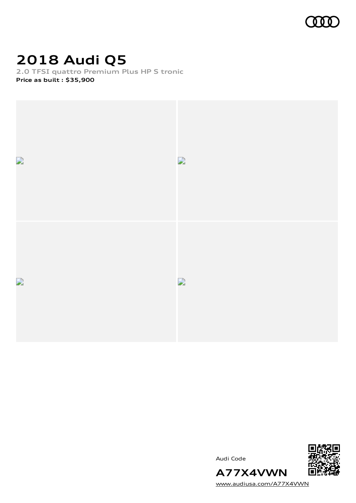

# **2018 Audi Q5**

**2.0 TFSI quattro Premium Plus HP S tronic Price as built [:](#page-10-0) \$35,900**







[www.audiusa.com/A77X4VWN](https://www.audiusa.com/A77X4VWN)

**A77X4VWN**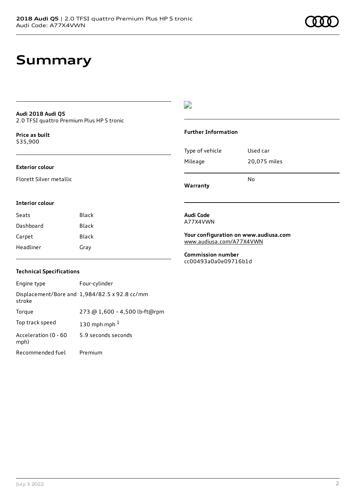# **Audi 2018 Audi Q5**

2.0 TFSI quattro Premium Plus HP S tronic

**Price as buil[t](#page-10-0)** \$35,900

### **Exterior colour**

Florett Silver metallic

# $\overline{\phantom{a}}$

### **Further Information**

| Warranty        |              |
|-----------------|--------------|
|                 | N٥           |
| Mileage         | 20,075 miles |
| Type of vehicle | Used car     |

### **Interior colour**

| Seats     | Black |
|-----------|-------|
| Dashboard | Black |
| Carpet    | Black |
| Headliner | Gray  |

### **Audi Code** A77X4VWN

**Your configuration on www.audiusa.com** [www.audiusa.com/A77X4VWN](https://www.audiusa.com/A77X4VWN)

**Commission number** cc00493a0a0e09716b1d

### **Technical Specifications**

| Engine type                  | Four-cylinder                                 |
|------------------------------|-----------------------------------------------|
| stroke                       | Displacement/Bore and 1,984/82.5 x 92.8 cc/mm |
| Torque                       | 273 @ 1,600 - 4,500 lb-ft@rpm                 |
| Top track speed              | 130 mph mph $1$                               |
| Acceleration (0 - 60<br>mph) | 5.9 seconds seconds                           |
| Recommended fuel             | Premium                                       |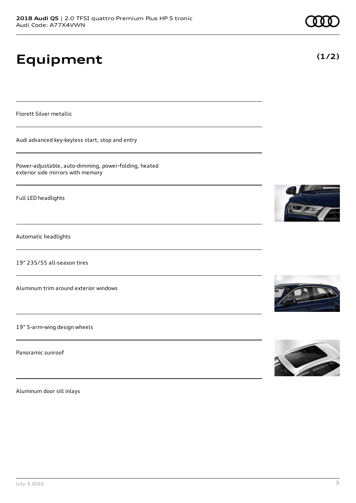# **Equipment**

Florett Silver metallic

Audi advanced key-keyless start, stop and entry

Power-adjustable, auto-dimming, power-folding, heated exterior side mirrors with memory

Full LED headlights

Automatic headlights

19" 235/55 all-season tires

Aluminum trim around exterior windows

19" 5-arm-wing design wheels

Panoramic sunroof

Aluminum door sill inlays







**(1/2)**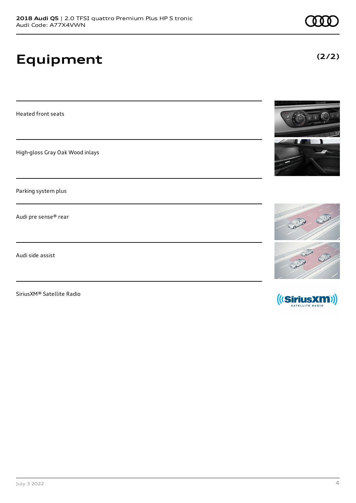# **Equipment**

Heated front seats

High-gloss Gray Oak Wood inlays

Parking system plus

Audi pre sense® rear

Audi side assist

SiriusXM® Satellite Radio





**(2/2)**

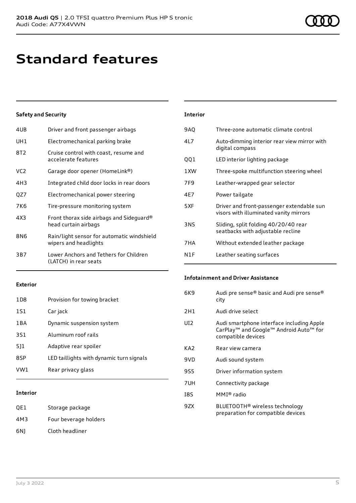# **Standard features**

# **Safety and Security**

| 4UB             | Driver and front passenger airbags                                  |
|-----------------|---------------------------------------------------------------------|
| UH1             | Electromechanical parking brake                                     |
| 8T <sub>2</sub> | Cruise control with coast, resume and<br>accelerate features        |
| VC <sub>2</sub> | Garage door opener (HomeLink®)                                      |
| 4H3             | Integrated child door locks in rear doors                           |
| QZ7             | Electromechanical power steering                                    |
| 7K6             | Tire-pressure monitoring system                                     |
| 4X3             | Front thorax side airbags and Sideguard®<br>head curtain airbags    |
| 8N6             | Rain/light sensor for automatic windshield<br>wipers and headlights |
| 3B7             | Lower Anchors and Tethers for Children<br>(LATCH) in rear seats     |

| <b>Interior</b> |                                                                                     |
|-----------------|-------------------------------------------------------------------------------------|
| <b>9AO</b>      | Three-zone automatic climate control                                                |
| 417             | Auto-dimming interior rear view mirror with<br>digital compass                      |
| 001             | LED interior lighting package                                                       |
| 1 XW            | Three-spoke multifunction steering wheel                                            |
| 7F9             | Leather-wrapped gear selector                                                       |
| 4F7             | Power tailgate                                                                      |
| 5XF             | Driver and front-passenger extendable sun<br>visors with illuminated vanity mirrors |
| 3NS             | Sliding, split folding 40/20/40 rear<br>seatbacks with adjustable recline           |
| 7HA             | Without extended leather package                                                    |
| N1F             | Leather seating surfaces                                                            |

# **Exterior**

| VW1 | Rear privacy glass                       |
|-----|------------------------------------------|
| 8SP | LED taillights with dynamic turn signals |
| 5]1 | Adaptive rear spoiler                    |
| 3S1 | Aluminum roof rails                      |
| 1BA | Dynamic suspension system                |
| 1S1 | Car jack                                 |
| 1D8 | Provision for towing bracket             |
|     |                                          |

# **Interior**

| QE1 | Storage package |
|-----|-----------------|
|     |                 |

- 4M3 Four beverage holders
- 6NJ Cloth headliner

# **Infotainment and Driver Assistance**

| Audi pre sense® basic and Audi pre sense®<br>city                                                                     |
|-----------------------------------------------------------------------------------------------------------------------|
| Audi drive select                                                                                                     |
| Audi smartphone interface including Apple<br>CarPlay <sup>™</sup> and Google™ Android Auto™ for<br>compatible devices |
| Rear view camera                                                                                                      |
| Audi sound system                                                                                                     |
| Driver information system                                                                                             |
| Connectivity package                                                                                                  |
| $MMI®$ radio                                                                                                          |
| BLUETOOTH <sup>®</sup> wireless technology<br>preparation for compatible devices                                      |
|                                                                                                                       |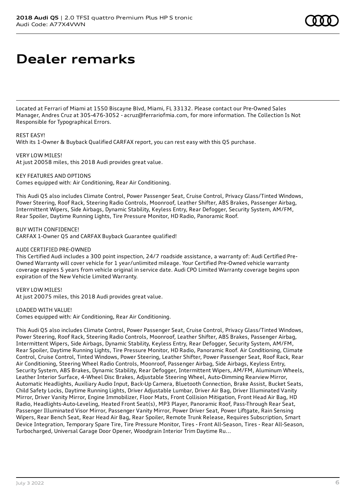# **Dealer remarks**

Located at Ferrari of Miami at 1550 Biscayne Blvd, Miami, FL 33132. Please contact our Pre-Owned Sales Manager, Andres Cruz at 305-476-3052 - acruz@ferrariofmia.com, for more information. The Collection Is Not Responsible for Typographical Errors.

### REST EASY!

With its 1-Owner & Buyback Qualified CARFAX report, you can rest easy with this Q5 purchase.

# VERY LOW MILES!

At just 20058 miles, this 2018 Audi provides great value.

### KEY FEATURES AND OPTIONS

Comes equipped with: Air Conditioning, Rear Air Conditioning.

This Audi Q5 also includes Climate Control, Power Passenger Seat, Cruise Control, Privacy Glass/Tinted Windows, Power Steering, Roof Rack, Steering Radio Controls, Moonroof, Leather Shifter, ABS Brakes, Passenger Airbag, Intermittent Wipers, Side Airbags, Dynamic Stability, Keyless Entry, Rear Defogger, Security System, AM/FM, Rear Spoiler, Daytime Running Lights, Tire Pressure Monitor, HD Radio, Panoramic Roof.

BUY WITH CONFIDENCE! CARFAX 1-Owner Q5 and CARFAX Buyback Guarantee qualified!

### AUDI CERTIFIED PRE-OWNED

This Certified Audi includes a 300 point inspection, 24/7 roadside assistance, a warranty of: Audi Certified Pre-Owned Warranty will cover vehicle for 1 year/unlimited mileage. Your Certified Pre-Owned vehicle warranty coverage expires 5 years from vehicle original in service date. Audi CPO Limited Warranty coverage begins upon expiration of the New Vehicle Limited Warranty.

# VERY LOW MILES!

At just 20075 miles, this 2018 Audi provides great value.

### LOADED WITH VALUE!

Comes equipped with: Air Conditioning, Rear Air Conditioning.

This Audi Q5 also includes Climate Control, Power Passenger Seat, Cruise Control, Privacy Glass/Tinted Windows, Power Steering, Roof Rack, Steering Radio Controls, Moonroof, Leather Shifter, ABS Brakes, Passenger Airbag, Intermittent Wipers, Side Airbags, Dynamic Stability, Keyless Entry, Rear Defogger, Security System, AM/FM, Rear Spoiler, Daytime Running Lights, Tire Pressure Monitor, HD Radio, Panoramic Roof. Air Conditioning, Climate Control, Cruise Control, Tinted Windows, Power Steering, Leather Shifter, Power Passenger Seat, Roof Rack, Rear Air Conditioning, Steering Wheel Radio Controls, Moonroof, Passenger Airbag, Side Airbags, Keyless Entry, Security System, ABS Brakes, Dynamic Stability, Rear Defogger, Intermittent Wipers, AM/FM, Aluminum Wheels, Leather Interior Surface, 4-Wheel Disc Brakes, Adjustable Steering Wheel, Auto-Dimming Rearview Mirror, Automatic Headlights, Auxiliary Audio Input, Back-Up Camera, Bluetooth Connection, Brake Assist, Bucket Seats, Child Safety Locks, Daytime Running Lights, Driver Adjustable Lumbar, Driver Air Bag, Driver Illuminated Vanity Mirror, Driver Vanity Mirror, Engine Immobilizer, Floor Mats, Front Collision Mitigation, Front Head Air Bag, HD Radio, Headlights-Auto-Leveling, Heated Front Seat(s), MP3 Player, Panoramic Roof, Pass-Through Rear Seat, Passenger Illuminated Visor Mirror, Passenger Vanity Mirror, Power Driver Seat, Power Liftgate, Rain Sensing Wipers, Rear Bench Seat, Rear Head Air Bag, Rear Spoiler, Remote Trunk Release, Requires Subscription, Smart Device Integration, Temporary Spare Tire, Tire Pressure Monitor, Tires - Front All-Season, Tires - Rear All-Season, Turbocharged, Universal Garage Door Opener, Woodgrain Interior Trim Daytime Ru...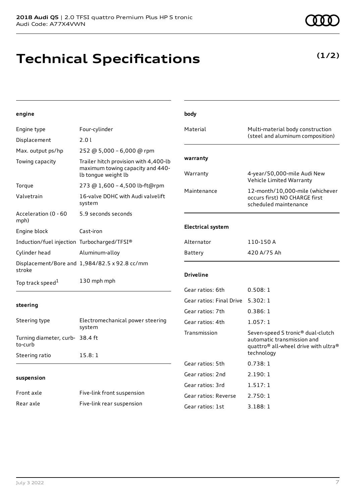# **Technical Specifications**

| engine                                      |                                                                                                  | body                     |                                                                                                                                 |
|---------------------------------------------|--------------------------------------------------------------------------------------------------|--------------------------|---------------------------------------------------------------------------------------------------------------------------------|
| Engine type                                 | Four-cylinder                                                                                    | Material                 | Multi-material body construction                                                                                                |
| Displacement                                | 2.01                                                                                             |                          | (steel and aluminum composition)                                                                                                |
| Max. output ps/hp                           | 252 @ 5,000 - 6,000 @ rpm                                                                        |                          |                                                                                                                                 |
| Towing capacity                             | Trailer hitch provision with 4,400-lb<br>maximum towing capacity and 440-<br>Ib tongue weight lb | warranty<br>Warranty     | 4-year/50,000-mile Audi New                                                                                                     |
| Torque                                      | 273 @ 1,600 - 4,500 lb-ft@rpm                                                                    |                          | Vehicle Limited Warranty                                                                                                        |
| Valvetrain                                  | 16-valve DOHC with Audi valvelift<br>system                                                      | Maintenance              | 12-month/10,000-mile (whichever<br>occurs first) NO CHARGE first<br>scheduled maintenance                                       |
| Acceleration (0 - 60<br>mph)                | 5.9 seconds seconds                                                                              |                          |                                                                                                                                 |
| Engine block                                | Cast-iron                                                                                        | <b>Electrical system</b> |                                                                                                                                 |
| Induction/fuel injection Turbocharged/TFSI® |                                                                                                  | Alternator               | 110-150 A                                                                                                                       |
| Cylinder head                               | Aluminum-alloy                                                                                   | Battery                  | 420 A/75 Ah                                                                                                                     |
|                                             | Displacement/Bore and 1,984/82.5 x 92.8 cc/mm                                                    |                          |                                                                                                                                 |
| stroke                                      |                                                                                                  | <b>Driveline</b>         |                                                                                                                                 |
| Top track speed <sup>1</sup>                | 130 mph mph                                                                                      | Gear ratios: 6th         | 0.508:1                                                                                                                         |
|                                             |                                                                                                  | Gear ratios: Final Drive | 5.302:1                                                                                                                         |
| steering                                    |                                                                                                  | Gear ratios: 7th         | 0.386:1                                                                                                                         |
| Steering type                               | Electromechanical power steering                                                                 | Gear ratios: 4th         | 1.057:1                                                                                                                         |
| Turning diameter, curb- 38.4 ft<br>to-curb  | system                                                                                           | Transmission             | Seven-speed S tronic® dual-clutch<br>automatic transmission and<br>quattro <sup>®</sup> all-wheel drive with ultra <sup>®</sup> |
| Steering ratio                              | 15.8:1                                                                                           |                          | technology                                                                                                                      |
|                                             |                                                                                                  | Gear ratios: 5th         | 0.738:1                                                                                                                         |
| suspension                                  |                                                                                                  | Gear ratios: 2nd         | 2.190:1                                                                                                                         |
|                                             |                                                                                                  | Gear ratios: 3rd         | 1.517:1                                                                                                                         |
| Front axle                                  | Five-link front suspension                                                                       | Gear ratios: Reverse     | 2.750:1                                                                                                                         |
| Rear axle                                   | Five-link rear suspension                                                                        | Gear ratios: 1st         | 3.188:1                                                                                                                         |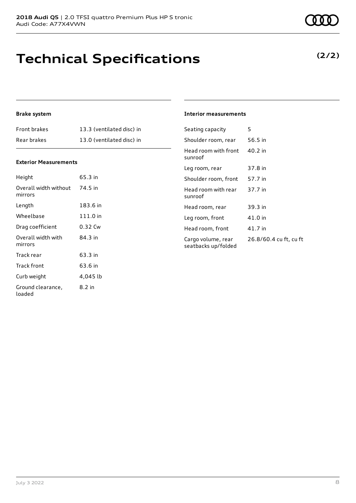# **Technical Specifications**

#### July 3 2022 8

# **Brake system**

| Front brakes | 13.3 (ventilated disc) in |
|--------------|---------------------------|
| Rear brakes  | 13.0 (ventilated disc) in |

# **Exterior Measurements**

| Height                           | 65.3 in  |
|----------------------------------|----------|
| Overall width without<br>mirrors | 74.5 in  |
| Length                           | 183.6 in |
| Wheelbase                        | 111.0 in |
| Drag coefficient                 | 0.32 Cw  |
| Overall width with<br>mirrors    | 84.3 in  |
| Track rear                       | 63.3 in  |
| Track front                      | 63.6 in  |
| Curb weight                      | 4,045 lb |
| Ground clearance,<br>loaded      | 8.2 in   |

# **Interior measurements**

| Seating capacity                          | 5                      |
|-------------------------------------------|------------------------|
| Shoulder room, rear                       | 56.5 in                |
| Head room with front<br>sunroof           | $40.2$ in              |
| Leg room, rear                            | 37.8 in                |
| Shoulder room, front                      | 57.7 in                |
| Head room with rear<br>sunroof            | 37.7 in                |
| Head room, rear                           | 39.3 in                |
| Leg room, front                           | 41.0 in                |
| Head room, front                          | 41.7 in                |
| Cargo volume, rear<br>seatbacks up/folded | 26.8/60.4 cu ft, cu ft |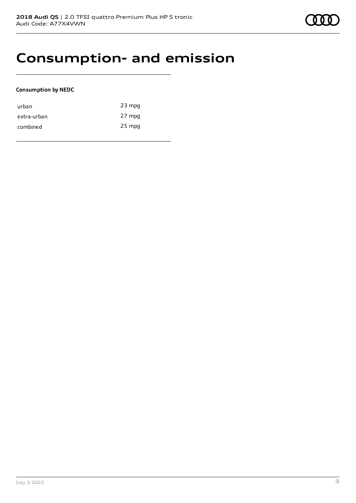# **Consumption- and emission**

# **Consumption by NEDC**

| urban       | $23$ mpg |
|-------------|----------|
| extra-urban | 27 mpg   |
| combined    | $25$ mpg |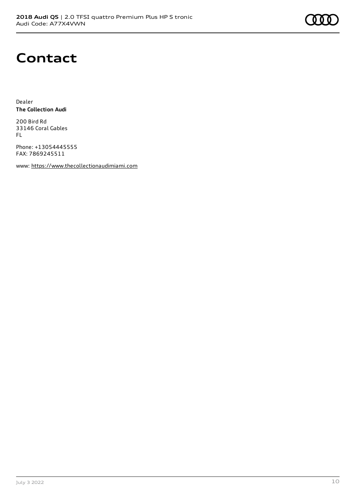# **Contact**

Dealer **The Collection Audi**

200 Bird Rd 33146 Coral Gables FL

Phone: +13054445555 FAX: 7869245511

www: [https://www.thecollectionaudimiami.com](https://www.thecollectionaudimiami.com/)